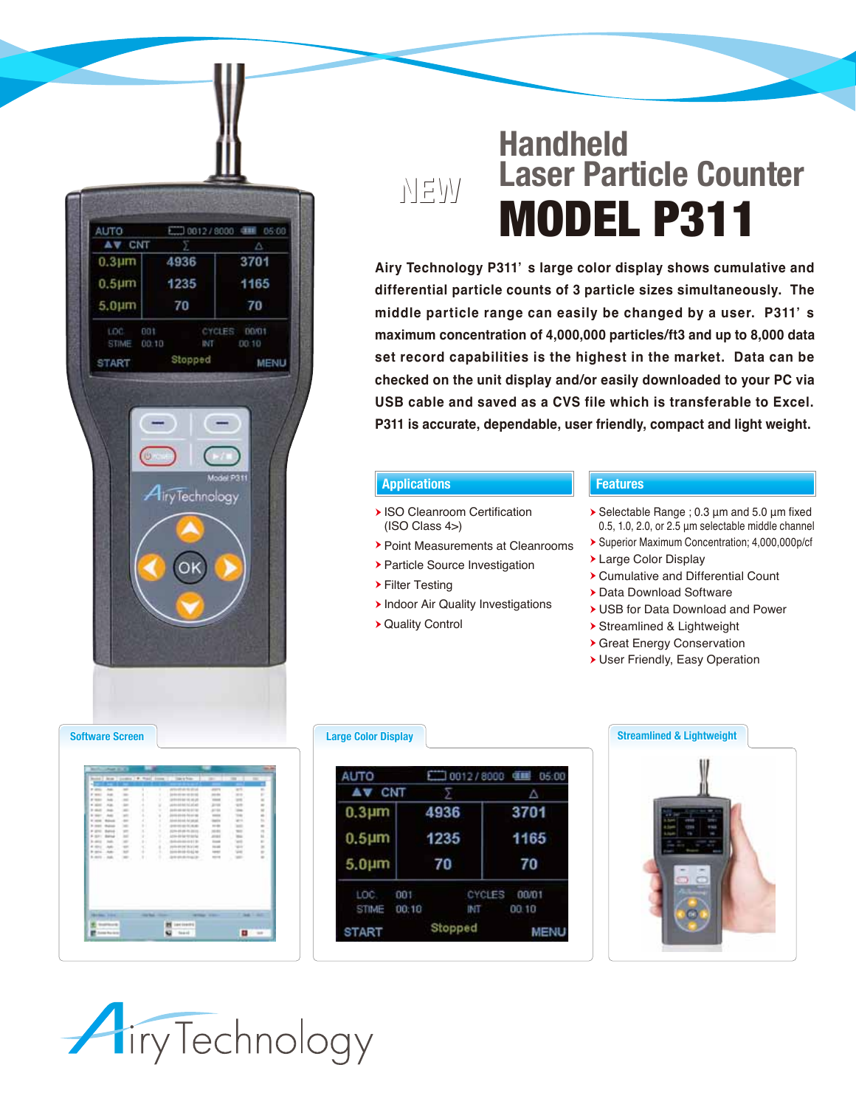

# **Handheld Laser Particle Counter** MODEL P311

**Airy Technology P311' s large color display shows cumulative and differential particle counts of 3 particle sizes simultaneously. The middle particle range can easily be changed by a user. P311' s maximum concentration of 4,000,000 particles/ft3 and up to 8,000 data set record capabilities is the highest in the market. Data can be checked on the unit display and/or easily downloaded to your PC via USB cable and saved as a CVS file which is transferable to Excel. P311 is accurate, dependable, user friendly, compact and light weight.** 

### **Applications Features**

**NEW**

- ▶ ISO Cleanroom Certification (ISO Class 4>)
- Point Measurements at Cleanrooms
- Particle Source Investigation
- Filter Testing
- **Indoor Air Quality Investigations**
- Quality Control

- $\triangleright$  Selectable Range ; 0.3  $\mu$ m and 5.0  $\mu$ m fixed 0.5, 1.0, 2.0, or 2.5 μm selectable middle channel
- Superior Maximum Concentration; 4,000,000p/cf
- Large Color Display
- Cumulative and Differential Count
- Data Download Software
- USB for Data Download and Power
- Streamlined & Lightweight
- Great Energy Conservation
- User Friendly, Easy Operation

|                        | <b>Bank Locked St. E.</b><br>All cars. |                | Continue 1 W. Monaco Continue 11 |          | Topo is from                                      |                           | $\cdots$     | ٠                          |
|------------------------|----------------------------------------|----------------|----------------------------------|----------|---------------------------------------------------|---------------------------|--------------|----------------------------|
|                        |                                        |                |                                  |          |                                                   |                           |              |                            |
| <b>START</b>           | $\sim$                                 | $\overline{a}$ | ٠                                | Ŧ        | 经运输的过                                             | <b>ANTI</b>               | <b>ATT</b>   | ×.                         |
|                        | $\cdots$                               | $\equiv$       | ł                                | ٠        |                                                   | and do                    |              | ×                          |
|                        | m                                      | $\sim$         | ł                                | ¥        | <b>PERFIELD</b>                                   | $\frac{1}{2}$             | m            | $\equiv$                   |
|                        | <b>Aug</b>                             | $\overline{a}$ | ٠                                | $\equiv$ | 444614.8045                                       | $20 - 44$                 |              | $\overline{a}$             |
| $+ 0.4$                | m                                      | $\sim$         | ٠                                | ٠        | --------                                          | AT GA                     | <b>STAR</b>  | u                          |
| <b>SHOW</b>            | m                                      | $\sim$         | s                                | ٠        | <b>10-8-10-5-10-6</b>                             | $\frac{1}{2}$             | $-$          | a.                         |
| -                      |                                        | $\equiv$       | ä,                               | ٠        | <b><i><i><u><b>ISS ART AT ART</b></u></i></i></b> | <b>Service</b>            | and a        | ti.                        |
| $1 - 201$              |                                        | ÷              | ×                                | ٠        | <b><i>B B B B L B B</i></b>                       | <b>HORA</b>               | <b>SHEET</b> | ۰                          |
| <b>* (11)</b>          | <b>Bullion Ave</b>                     | $\frac{1}{2}$  | ×                                | ٠        | $(3 - 15 + 15 + 1)$                               | 16.041                    | <b>WARD</b>  | ×                          |
| $4 - 3041$             | <b>Dallace</b>                         | $\equiv$       | ٠                                | ж        | <b>HIGHLIGHT</b>                                  | arm i                     | m            | u                          |
| <b>A. company</b>      | m                                      | $\equiv$       | $\mathbb{R}$                     | ٠        | $49.666$ and $4$ 5 $10$                           | $rac{1}{2}$               |              | $\sim$                     |
| * mm<br><b>B</b> model | <b>Auto</b>                            | $\equiv$<br>w  | ×.<br>٠                          | ٠<br>16  | particular the character                          | <b>TOUGH</b>              |              | $\equiv$<br>$\blacksquare$ |
| 3-803 - 88.            | A                                      | $\equiv$       |                                  | ٠        | 0000000000<br>And will all change of              | <b>Langed</b><br>$-10-14$ | $-$          |                            |
|                        |                                        |                |                                  |          |                                                   |                           |              |                            |
|                        | <b>Charles</b> States<br>as ku ara     |                |                                  |          | -<br><b>LEAT EXECUTE</b><br><b>Search</b>         |                           | п            |                            |

## **Large Color Display**

| AUTO             |       |         | $10012/8000$ 41 $05.00$ |  |  |
|------------------|-------|---------|-------------------------|--|--|
| AV CNT           |       |         | Δ                       |  |  |
| $0.3 \mu m$      | 4936  |         | 3701                    |  |  |
| 0.5 <sub>µ</sub> | 1235  |         | 1165                    |  |  |
| 5.0 <sub>µ</sub> | 70    |         | 70                      |  |  |
| LOC.             | 001   | CYCLES  | 00/01                   |  |  |
| <b>STIME</b>     | 00:10 | INT     | 00.10                   |  |  |
| <b>START</b>     |       | Stopped |                         |  |  |

# **Streamlined & Lightweight**